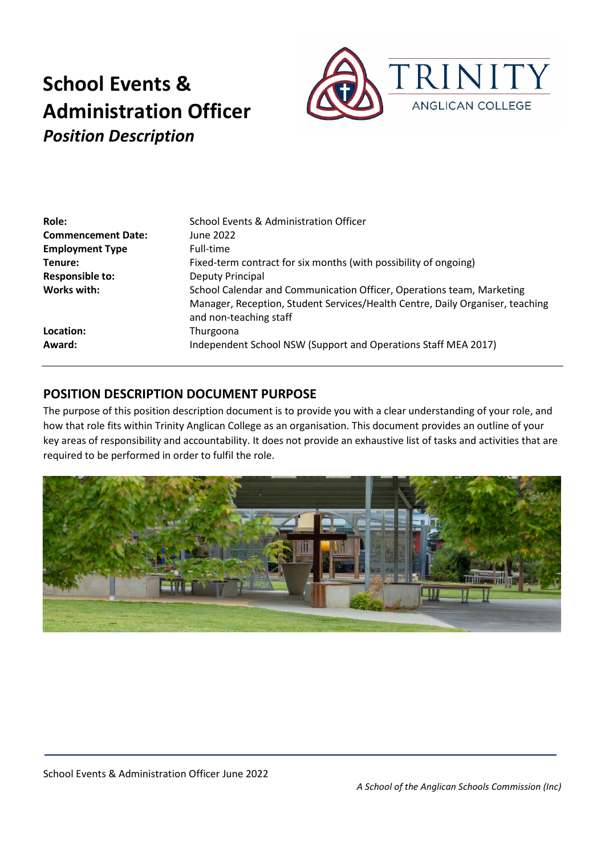

| Role:                     | School Events & Administration Officer                                                                  |
|---------------------------|---------------------------------------------------------------------------------------------------------|
| <b>Commencement Date:</b> | June 2022                                                                                               |
| <b>Employment Type</b>    | Full-time                                                                                               |
| Tenure:                   | Fixed-term contract for six months (with possibility of ongoing)                                        |
| <b>Responsible to:</b>    | Deputy Principal                                                                                        |
| Works with:               | School Calendar and Communication Officer, Operations team, Marketing                                   |
|                           | Manager, Reception, Student Services/Health Centre, Daily Organiser, teaching<br>and non-teaching staff |
| Location:                 | Thurgoona                                                                                               |
| Award:                    | Independent School NSW (Support and Operations Staff MEA 2017)                                          |

# **POSITION DESCRIPTION DOCUMENT PURPOSE**

The purpose of this position description document is to provide you with a clear understanding of your role, and how that role fits within Trinity Anglican College as an organisation. This document provides an outline of your key areas of responsibility and accountability. It does not provide an exhaustive list of tasks and activities that are required to be performed in order to fulfil the role.

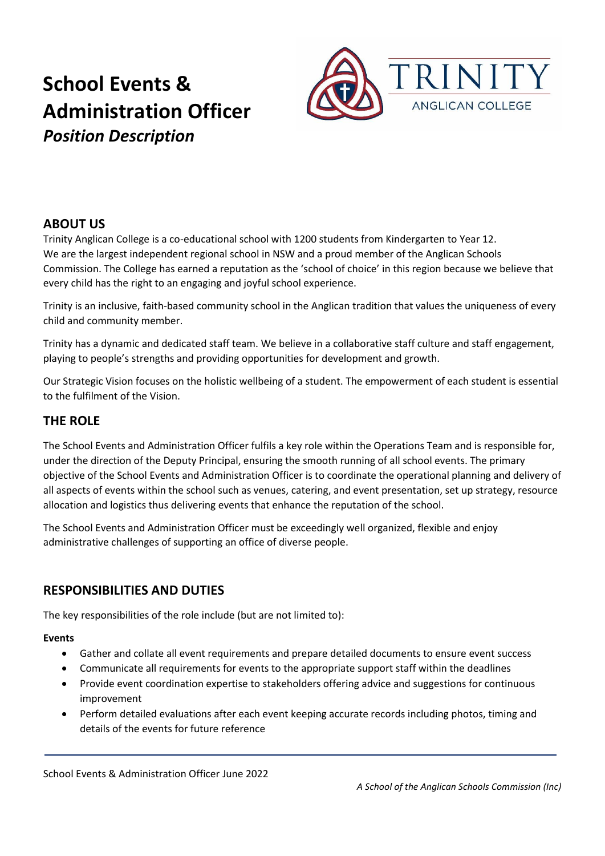

# **ABOUT US**

Trinity Anglican College is a co-educational school with 1200 students from Kindergarten to Year 12. We are the largest independent regional school in NSW and a proud member of the Anglican Schools Commission. The College has earned a reputation as the 'school of choice' in this region because we believe that every child has the right to an engaging and joyful school experience.

Trinity is an inclusive, faith-based community school in the Anglican tradition that values the uniqueness of every child and community member.

Trinity has a dynamic and dedicated staff team. We believe in a collaborative staff culture and staff engagement, playing to people's strengths and providing opportunities for development and growth.

Our Strategic Vision focuses on the holistic wellbeing of a student. The empowerment of each student is essential to the fulfilment of the Vision.

## **THE ROLE**

The School Events and Administration Officer fulfils a key role within the Operations Team and is responsible for, under the direction of the Deputy Principal, ensuring the smooth running of all school events. The primary objective of the School Events and Administration Officer is to coordinate the operational planning and delivery of all aspects of events within the school such as venues, catering, and event presentation, set up strategy, resource allocation and logistics thus delivering events that enhance the reputation of the school.

The School Events and Administration Officer must be exceedingly well organized, flexible and enjoy administrative challenges of supporting an office of diverse people.

# **RESPONSIBILITIES AND DUTIES**

The key responsibilities of the role include (but are not limited to):

#### **Events**

- Gather and collate all event requirements and prepare detailed documents to ensure event success
- Communicate all requirements for events to the appropriate support staff within the deadlines
- Provide event coordination expertise to stakeholders offering advice and suggestions for continuous improvement
- Perform detailed evaluations after each event keeping accurate records including photos, timing and details of the events for future reference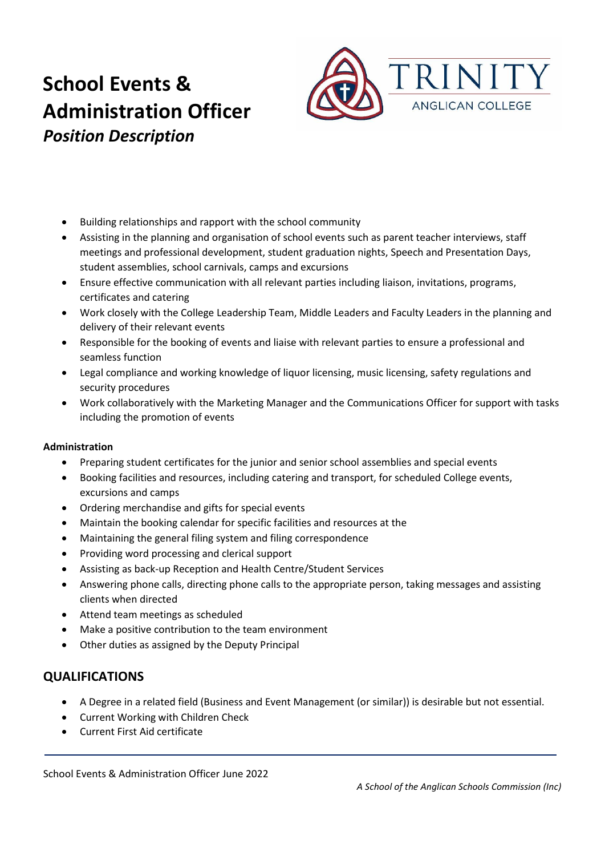

- Building relationships and rapport with the school community
- Assisting in the planning and organisation of school events such as parent teacher interviews, staff meetings and professional development, student graduation nights, Speech and Presentation Days, student assemblies, school carnivals, camps and excursions
- Ensure effective communication with all relevant parties including liaison, invitations, programs, certificates and catering
- Work closely with the College Leadership Team, Middle Leaders and Faculty Leaders in the planning and delivery of their relevant events
- Responsible for the booking of events and liaise with relevant parties to ensure a professional and seamless function
- Legal compliance and working knowledge of liquor licensing, music licensing, safety regulations and security procedures
- Work collaboratively with the Marketing Manager and the Communications Officer for support with tasks including the promotion of events

#### **Administration**

- Preparing student certificates for the junior and senior school assemblies and special events
- Booking facilities and resources, including catering and transport, for scheduled College events, excursions and camps
- Ordering merchandise and gifts for special events
- Maintain the booking calendar for specific facilities and resources at the
- Maintaining the general filing system and filing correspondence
- Providing word processing and clerical support
- Assisting as back-up Reception and Health Centre/Student Services
- Answering phone calls, directing phone calls to the appropriate person, taking messages and assisting clients when directed
- Attend team meetings as scheduled
- Make a positive contribution to the team environment
- Other duties as assigned by the Deputy Principal

### **QUALIFICATIONS**

- A Degree in a related field (Business and Event Management (or similar)) is desirable but not essential.
- Current Working with Children Check
- Current First Aid certificate